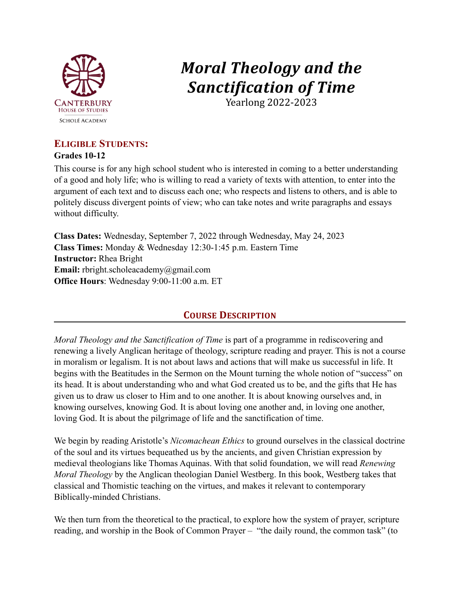

# *Moral Theology and the Sanctification of Time*

Yearlong 2022-2023

# **ELIGIBLE STUDENTS:**

## **Grades 10-12**

This course is for any high school student who is interested in coming to a better understanding of a good and holy life; who is willing to read a variety of texts with attention, to enter into the argument of each text and to discuss each one; who respects and listens to others, and is able to politely discuss divergent points of view; who can take notes and write paragraphs and essays without difficulty.

**Class Dates:** Wednesday, September 7, 2022 through Wednesday, May 24, 2023 **Class Times:** Monday & Wednesday 12:30-1:45 p.m. Eastern Time **Instructor:** Rhea Bright **Email:** [rbright.scholeacademy@gmail.com](mailto:rbright.scholeacademy@gmail.com) **Office Hours**: Wednesday 9:00-11:00 a.m. ET

# **COURSE DESCRIPTION**

*Moral Theology and the Sanctification of Time* is part of a programme in rediscovering and renewing a lively Anglican heritage of theology, scripture reading and prayer. This is not a course in moralism or legalism. It is not about laws and actions that will make us successful in life. It begins with the Beatitudes in the Sermon on the Mount turning the whole notion of "success" on its head. It is about understanding who and what God created us to be, and the gifts that He has given us to draw us closer to Him and to one another. It is about knowing ourselves and, in knowing ourselves, knowing God. It is about loving one another and, in loving one another, loving God. It is about the pilgrimage of life and the sanctification of time.

We begin by reading Aristotle's *Nicomachean Ethics* to ground ourselves in the classical doctrine of the soul and its virtues bequeathed us by the ancients, and given Christian expression by medieval theologians like Thomas Aquinas. With that solid foundation, we will read *Renewing Moral Theology* by the Anglican theologian Daniel Westberg. In this book, Westberg takes that classical and Thomistic teaching on the virtues, and makes it relevant to contemporary Biblically-minded Christians.

We then turn from the theoretical to the practical, to explore how the system of prayer, scripture reading, and worship in the Book of Common Prayer – "the daily round, the common task" (to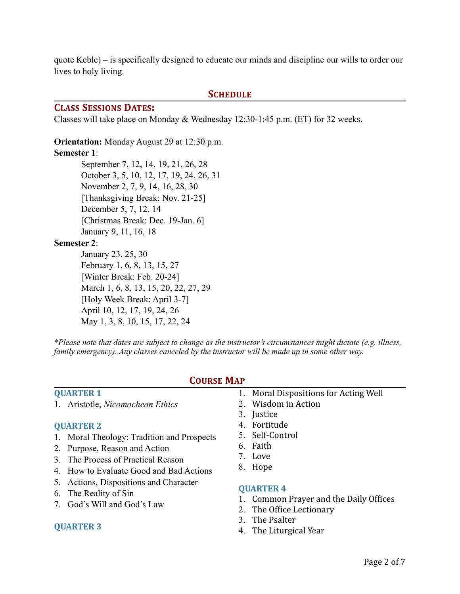quote Keble) – is specifically designed to educate our minds and discipline our wills to order our lives to holy living.

#### **SCHEDULE**

#### **CLASS SESSIONS DATES:**

Classes will take place on Monday & Wednesday 12:30-1:45 p.m. (ET) for 32 weeks.

**Orientation:** Monday August 29 at 12:30 p.m.

#### **Semester 1**:

September 7, 12, 14, 19, 21, 26, 28 October 3, 5, 10, 12, 17, 19, 24, 26, 31 November 2, 7, 9, 14, 16, 28, 30 [Thanksgiving Break: Nov. 21-25] December 5, 7, 12, 14 [Christmas Break: Dec. 19-Jan. 6] January 9, 11, 16, 18

#### **Semester 2**:

January 23, 25, 30 February 1, 6, 8, 13, 15, 27 [Winter Break: Feb. 20-24] March 1, 6, 8, 13, 15, 20, 22, 27, 29 [Holy Week Break: April 3-7] April 10, 12, 17, 19, 24, 26 May 1, 3, 8, 10, 15, 17, 22, 24

*\*Please note that dates are subject to change as the instructor's circumstances might dictate (e.g. illness, family emergency). Any classes canceled by the instructor will be made up in some other way.*

#### **QUARTER 1**

1. Aristotle, *Nicomachean Ethics*

#### **QUARTER 2**

- 1. Moral Theology: Tradition and Prospects
- 2. Purpose, Reason and Action
- 3. The Process of Practical Reason
- 4. How to Evaluate Good and Bad Actions
- 5. Actions, Dispositions and Character
- 6. The Reality of Sin
- 7. God's Will and God's Law

#### **QUARTER 3**

## **COURSE MAP**

- 1. Moral Dispositions for Acting Well
- 2. Wisdom in Action
- 3. Justice
- 4. Fortitude
- 5. Self-Control
- 6. Faith
- 7. Love
- 8. Hope

#### **QUARTER 4**

- 1. Common Prayer and the Daily Offices
- 2. The Office Lectionary
- 3. The Psalter
- 4. The Liturgical Year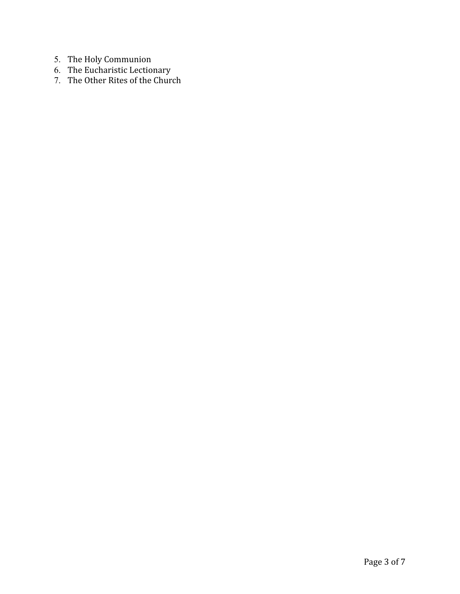- 5. The Holy Communion
- 6. The Eucharistic Lectionary
- 7. The Other Rites of the Church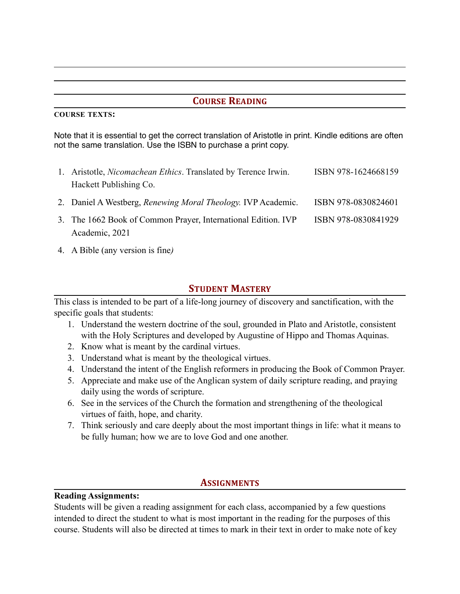## **COURSE READING**

#### **COURSE TEXTS:**

Note that it is essential to get the correct translation of Aristotle in print. Kindle editions are often not the same translation. Use the ISBN to purchase a print copy.

| 1. Aristotle, <i>Nicomachean Ethics</i> . Translated by Terence Irwin. | ISBN 978-1624668159 |
|------------------------------------------------------------------------|---------------------|
| Hackett Publishing Co.                                                 |                     |
| 2. Daniel A Westberg, Renewing Moral Theology. IVP Academic.           | ISBN 978-0830824601 |
| 3. The 1662 Book of Common Prayer, International Edition. IVP          | ISBN 978-0830841929 |
| Academic, 2021                                                         |                     |

4. A Bible (any version is fine*)*

## **STUDENT MASTERY**

This class is intended to be part of a life-long journey of discovery and sanctification, with the specific goals that students:

- 1. Understand the western doctrine of the soul, grounded in Plato and Aristotle, consistent with the Holy Scriptures and developed by Augustine of Hippo and Thomas Aquinas.
- 2. Know what is meant by the cardinal virtues.
- 3. Understand what is meant by the theological virtues.
- 4. Understand the intent of the English reformers in producing the Book of Common Prayer.
- 5. Appreciate and make use of the Anglican system of daily scripture reading, and praying daily using the words of scripture.
- 6. See in the services of the Church the formation and strengthening of the theological virtues of faith, hope, and charity.
- 7. Think seriously and care deeply about the most important things in life: what it means to be fully human; how we are to love God and one another.

## **ASSIGNMENTS**

#### **Reading Assignments:**

Students will be given a reading assignment for each class, accompanied by a few questions intended to direct the student to what is most important in the reading for the purposes of this course. Students will also be directed at times to mark in their text in order to make note of key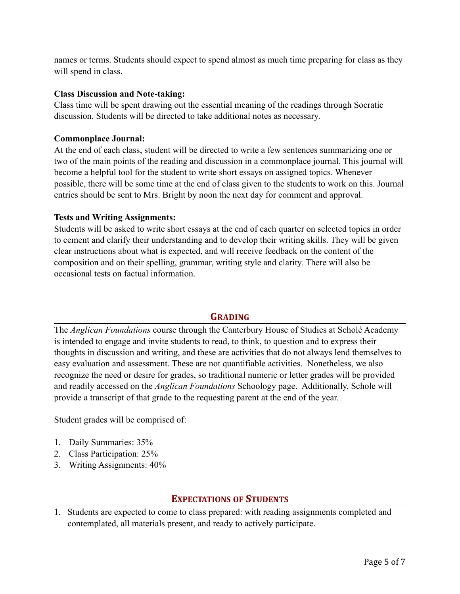names or terms. Students should expect to spend almost as much time preparing for class as they will spend in class.

#### **Class Discussion and Note-taking:**

Class time will be spent drawing out the essential meaning of the readings through Socratic discussion. Students will be directed to take additional notes as necessary.

#### **Commonplace Journal:**

At the end of each class, student will be directed to write a few sentences summarizing one or two of the main points of the reading and discussion in a commonplace journal. This journal will become a helpful tool for the student to write short essays on assigned topics. Whenever possible, there will be some time at the end of class given to the students to work on this. Journal entries should be sent to Mrs. Bright by noon the next day for comment and approval.

#### **Tests and Writing Assignments:**

Students will be asked to write short essays at the end of each quarter on selected topics in order to cement and clarify their understanding and to develop their writing skills. They will be given clear instructions about what is expected, and will receive feedback on the content of the composition and on their spelling, grammar, writing style and clarity. There will also be occasional tests on factual information.

## **GRADING**

The *Anglican Foundations* course through the Canterbury House of Studies at Scholé Academy is intended to engage and invite students to read, to think, to question and to express their thoughts in discussion and writing, and these are activities that do not always lend themselves to easy evaluation and assessment. These are not quantifiable activities. Nonetheless, we also recognize the need or desire for grades, so traditional numeric or letter grades will be provided and readily accessed on the *Anglican Foundations* Schoology page. Additionally, Schole will provide a transcript of that grade to the requesting parent at the end of the year.

Student grades will be comprised of:

- 1. Daily Summaries: 35%
- 2. Class Participation: 25%
- 3. Writing Assignments: 40%

#### **EXPECTATIONS OF STUDENTS**

1. Students are expected to come to class prepared: with reading assignments completed and contemplated, all materials present, and ready to actively participate.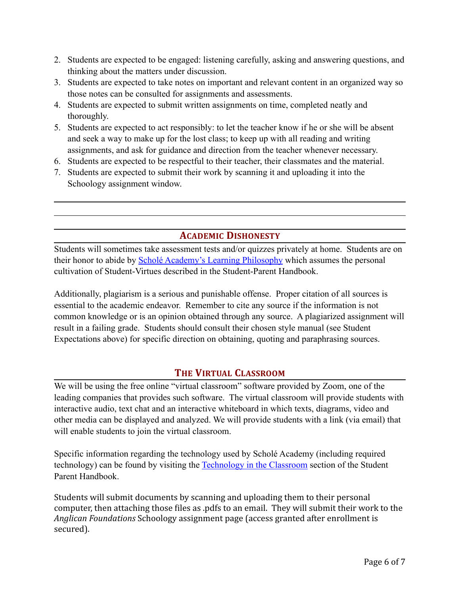- 2. Students are expected to be engaged: listening carefully, asking and answering questions, and thinking about the matters under discussion.
- 3. Students are expected to take notes on important and relevant content in an organized way so those notes can be consulted for assignments and assessments.
- 4. Students are expected to submit written assignments on time, completed neatly and thoroughly.
- 5. Students are expected to act responsibly: to let the teacher know if he or she will be absent and seek a way to make up for the lost class; to keep up with all reading and writing assignments, and ask for guidance and direction from the teacher whenever necessary.
- 6. Students are expected to be respectful to their teacher, their classmates and the material.
- 7. Students are expected to submit their work by scanning it and uploading it into the Schoology assignment window.

## **ACADEMIC DISHONESTY**

Students will sometimes take assessment tests and/or quizzes privately at home. Students are on their honor to abide by [Scholé Academy's Learning Philosophy](http://www.scholeacademy.com/student-parent-handbook/) which assumes the personal cultivation of Student-Virtues described in the Student-Parent Handbook.

Additionally, plagiarism is a serious and punishable offense. Proper citation of all sources is essential to the academic endeavor. Remember to cite any source if the information is not common knowledge or is an opinion obtained through any source. A plagiarized assignment will result in a failing grade. Students should consult their chosen style manual (see Student Expectations above) for specific direction on obtaining, quoting and paraphrasing sources.

## **THE VIRTUAL CLASSROOM**

We will be using the free online "virtual classroom" software provided by Zoom, one of the leading companies that provides such software. The virtual classroom will provide students with interactive audio, text chat and an interactive whiteboard in which texts, diagrams, video and other media can be displayed and analyzed. We will provide students with a link (via email) that will enable students to join the virtual classroom.

Specific information regarding the technology used by Scholé Academy (including required technology) can be found by visiting the [Technology in the Classroom](http://www.scholeacademy.com/student-parent-handbook/) section of the Student Parent Handbook.

Students will submit documents by scanning and uploading them to their personal computer, then attaching those files as .pdfs to an email. They will submit their work to the Anglican Foundations Schoology assignment page (access granted after enrollment is secured).